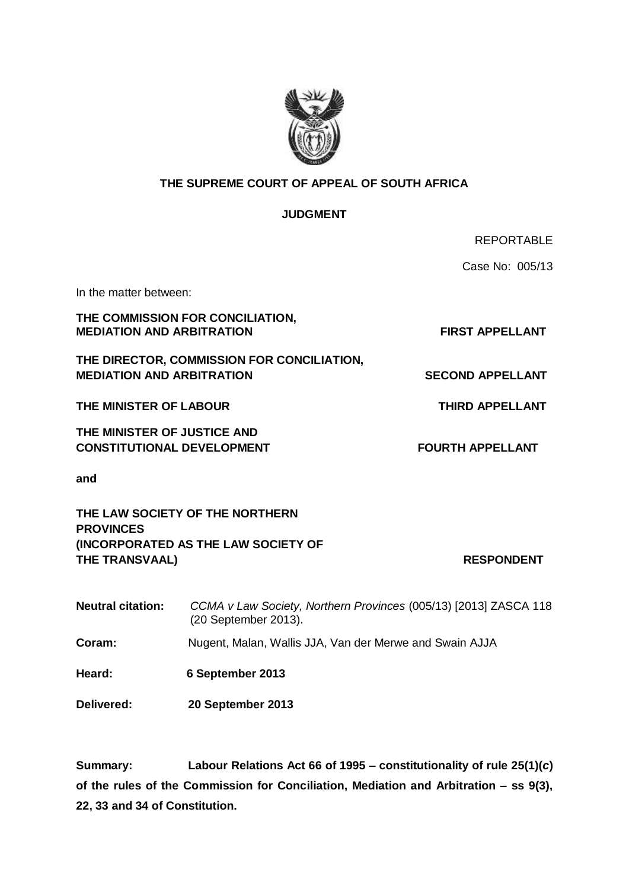

## **THE SUPREME COURT OF APPEAL OF SOUTH AFRICA**

### **JUDGMENT**

|                                                                                |                                                                                          | <b>REPORTABLE</b>       |
|--------------------------------------------------------------------------------|------------------------------------------------------------------------------------------|-------------------------|
|                                                                                |                                                                                          | Case No: 005/13         |
| In the matter between:                                                         |                                                                                          |                         |
| THE COMMISSION FOR CONCILIATION,<br><b>MEDIATION AND ARBITRATION</b>           |                                                                                          | <b>FIRST APPELLANT</b>  |
| THE DIRECTOR, COMMISSION FOR CONCILIATION,<br><b>MEDIATION AND ARBITRATION</b> |                                                                                          | <b>SECOND APPELLANT</b> |
| THE MINISTER OF LABOUR                                                         |                                                                                          | <b>THIRD APPELLANT</b>  |
| THE MINISTER OF JUSTICE AND<br><b>CONSTITUTIONAL DEVELOPMENT</b>               |                                                                                          | <b>FOURTH APPELLANT</b> |
| and                                                                            |                                                                                          |                         |
| <b>PROVINCES</b>                                                               | THE LAW SOCIETY OF THE NORTHERN                                                          |                         |
|                                                                                | <b>(INCORPORATED AS THE LAW SOCIETY OF</b>                                               |                         |
| THE TRANSVAAL)                                                                 |                                                                                          | <b>RESPONDENT</b>       |
| <b>Neutral citation:</b>                                                       | CCMA v Law Society, Northern Provinces (005/13) [2013] ZASCA 118<br>(20 September 2013). |                         |
| Coram:                                                                         | Nugent, Malan, Wallis JJA, Van der Merwe and Swain AJJA                                  |                         |
| Heard:                                                                         | 6 September 2013                                                                         |                         |
| Delivered:                                                                     | 20 September 2013                                                                        |                         |

**Summary: Labour Relations Act 66 of 1995 – constitutionality of rule 25(1)(***c***) of the rules of the Commission for Conciliation, Mediation and Arbitration – ss 9(3), 22, 33 and 34 of Constitution.**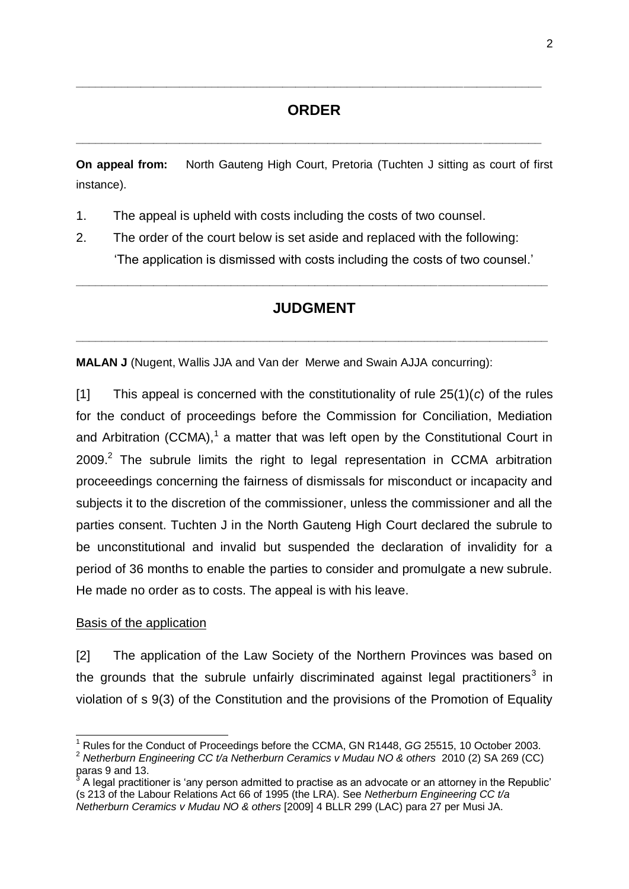## **ORDER**

**\_\_\_\_\_\_\_\_\_\_\_\_\_\_\_\_\_\_\_\_\_\_\_\_\_\_\_\_\_\_\_\_\_\_\_\_\_\_\_\_\_\_\_\_\_\_\_\_\_\_\_\_\_\_\_\_\_\_\_\_\_\_\_\_\_\_\_\_\_\_\_\_**

**\_\_\_\_\_\_\_\_\_\_\_\_\_\_\_\_\_\_\_\_\_\_\_\_\_\_\_\_\_\_\_\_\_\_\_\_\_\_\_\_\_\_\_\_\_\_\_\_\_\_\_\_\_\_\_\_\_\_\_\_\_\_\_\_\_\_\_\_\_\_\_\_**

**On appeal from:** North Gauteng High Court, Pretoria (Tuchten J sitting as court of first instance).

- 1. The appeal is upheld with costs including the costs of two counsel.
- 2. The order of the court below is set aside and replaced with the following: ‗The application is dismissed with costs including the costs of two counsel.'

# **JUDGMENT**

**\_\_\_\_\_\_\_\_\_\_\_\_\_\_\_\_\_\_\_\_\_\_\_\_\_\_\_\_\_\_\_\_\_\_\_\_\_\_\_\_\_\_\_\_\_\_\_\_\_\_\_\_\_\_\_\_\_\_\_\_\_\_\_\_\_\_\_\_\_\_\_\_\_**

**\_\_\_\_\_\_\_\_\_\_\_\_\_\_\_\_\_\_\_\_\_\_\_\_\_\_\_\_\_\_\_\_\_\_\_\_\_\_\_\_\_\_\_\_\_\_\_\_\_\_\_\_\_\_\_\_\_\_\_\_\_\_\_\_\_\_\_\_\_\_\_\_\_**

**MALAN J** (Nugent, Wallis JJA and Van der Merwe and Swain AJJA concurring):

[1] This appeal is concerned with the constitutionality of rule 25(1)(*c*) of the rules for the conduct of proceedings before the Commission for Conciliation, Mediation and Arbitration (CCMA), $1$  a matter that was left open by the Constitutional Court in 2009. $^2$  The subrule limits the right to legal representation in CCMA arbitration proceeedings concerning the fairness of dismissals for misconduct or incapacity and subjects it to the discretion of the commissioner, unless the commissioner and all the parties consent. Tuchten J in the North Gauteng High Court declared the subrule to be unconstitutional and invalid but suspended the declaration of invalidity for a period of 36 months to enable the parties to consider and promulgate a new subrule. He made no order as to costs. The appeal is with his leave.

#### Basis of the application

 $\overline{a}$ 

[2] The application of the Law Society of the Northern Provinces was based on the grounds that the subrule unfairly discriminated against legal practitioners<sup>3</sup> in violation of s 9(3) of the Constitution and the provisions of the Promotion of Equality

<sup>&</sup>lt;sup>1</sup> Rules for the Conduct of Proceedings before the CCMA, GN R1448, GG 25515, 10 October 2003. <sup>2</sup> *Netherburn Engineering CC t/a Netherburn Ceramics v Mudau NO & others* 2010 (2) SA 269 (CC) paras 9 and 13.

<sup>3</sup> A legal practitioner is ‗any person admitted to practise as an advocate or an attorney in the Republic' (s 213 of the Labour Relations Act 66 of 1995 (the LRA). See *Netherburn Engineering CC t/a Netherburn Ceramics v Mudau NO & others* [2009] 4 BLLR 299 (LAC) para 27 per Musi JA.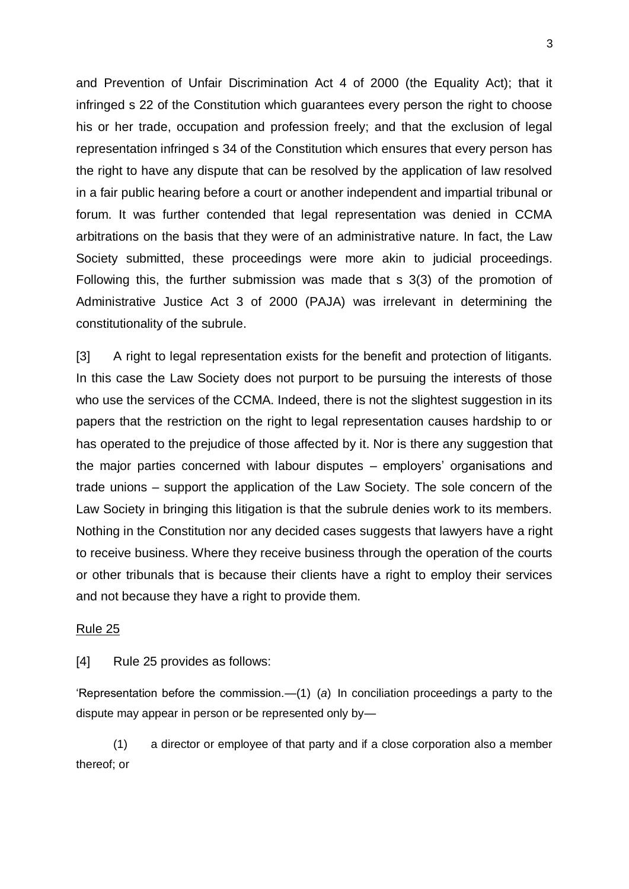and Prevention of Unfair Discrimination Act 4 of 2000 (the Equality Act); that it infringed s 22 of the Constitution which guarantees every person the right to choose his or her trade, occupation and profession freely; and that the exclusion of legal representation infringed s 34 of the Constitution which ensures that every person has the right to have any dispute that can be resolved by the application of law resolved in a fair public hearing before a court or another independent and impartial tribunal or forum. It was further contended that legal representation was denied in CCMA arbitrations on the basis that they were of an administrative nature. In fact, the Law Society submitted, these proceedings were more akin to judicial proceedings. Following this, the further submission was made that s 3(3) of the promotion of Administrative Justice Act 3 of 2000 (PAJA) was irrelevant in determining the constitutionality of the subrule.

[3] A right to legal representation exists for the benefit and protection of litigants. In this case the Law Society does not purport to be pursuing the interests of those who use the services of the CCMA. Indeed, there is not the slightest suggestion in its papers that the restriction on the right to legal representation causes hardship to or has operated to the prejudice of those affected by it. Nor is there any suggestion that the major parties concerned with labour disputes – employers' organisations and trade unions – support the application of the Law Society. The sole concern of the Law Society in bringing this litigation is that the subrule denies work to its members. Nothing in the Constitution nor any decided cases suggests that lawyers have a right to receive business. Where they receive business through the operation of the courts or other tribunals that is because their clients have a right to employ their services and not because they have a right to provide them.

#### Rule 25

[4] Rule 25 provides as follows:

‗Representation before the commission.—(1) (*a*) In conciliation proceedings a party to the dispute may appear in person or be represented only by—

(1) a director or employee of that party and if a close corporation also a member thereof; or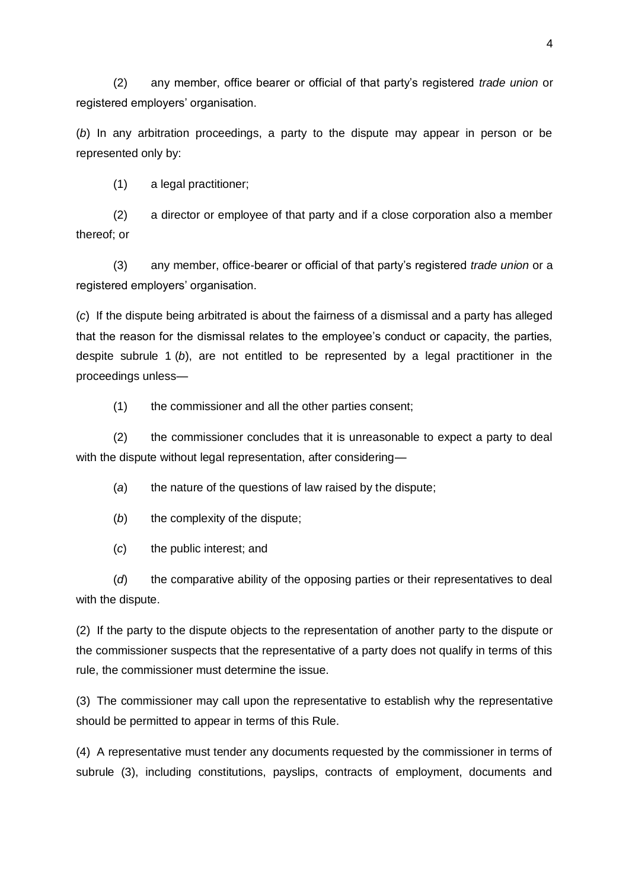(2) any member, office bearer or official of that party's registered *trade union* or registered employers' organisation.

(*b*) In any arbitration proceedings, a party to the dispute may appear in person or be represented only by:

(1) a legal practitioner;

(2) a director or employee of that party and if a close corporation also a member thereof; or

(3) any member, office-bearer or official of that party's registered *trade union* or a registered employers' organisation.

(*c*) If the dispute being arbitrated is about the fairness of a dismissal and a party has alleged that the reason for the dismissal relates to the employee's conduct or capacity, the parties, despite subrule 1 (*b*), are not entitled to be represented by a legal practitioner in the proceedings unless—

(1) the commissioner and all the other parties consent;

(2) the commissioner concludes that it is unreasonable to expect a party to deal with the dispute without legal representation, after considering—

(*a*) the nature of the questions of law raised by the dispute;

(b) the complexity of the dispute;

(*c*) the public interest; and

(*d*) the comparative ability of the opposing parties or their representatives to deal with the dispute.

(2) If the party to the dispute objects to the representation of another party to the dispute or the commissioner suspects that the representative of a party does not qualify in terms of this rule, the commissioner must determine the issue.

(3) The commissioner may call upon the representative to establish why the representative should be permitted to appear in terms of this Rule.

(4) A representative must tender any documents requested by the commissioner in terms of subrule (3), including constitutions, payslips, contracts of employment, documents and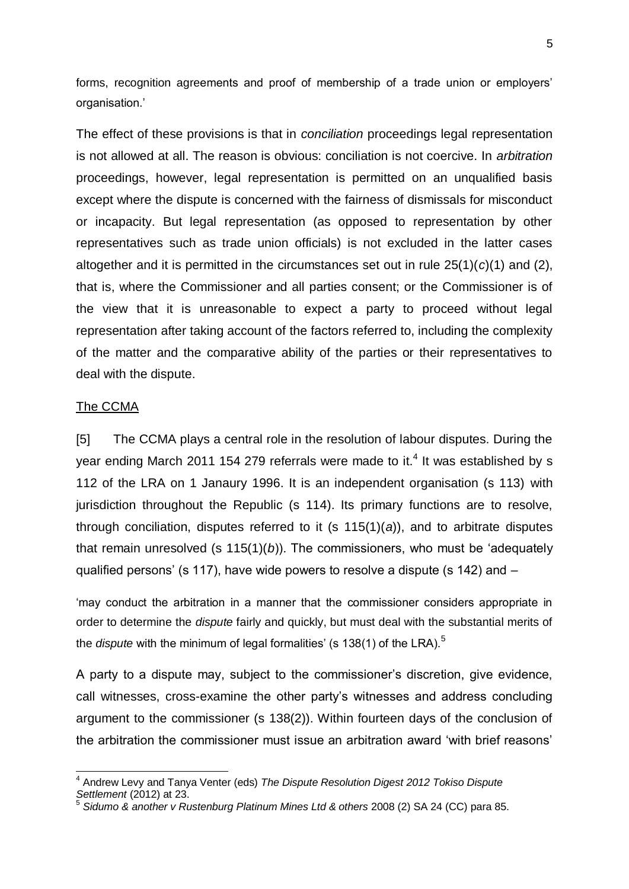forms, recognition agreements and proof of membership of a trade union or employers' organisation.'

The effect of these provisions is that in *conciliation* proceedings legal representation is not allowed at all. The reason is obvious: conciliation is not coercive. In *arbitration* proceedings, however, legal representation is permitted on an unqualified basis except where the dispute is concerned with the fairness of dismissals for misconduct or incapacity. But legal representation (as opposed to representation by other representatives such as trade union officials) is not excluded in the latter cases altogether and it is permitted in the circumstances set out in rule 25(1)(*c*)(1) and (2), that is, where the Commissioner and all parties consent; or the Commissioner is of the view that it is unreasonable to expect a party to proceed without legal representation after taking account of the factors referred to, including the complexity of the matter and the comparative ability of the parties or their representatives to deal with the dispute.

#### The CCMA

-

[5] The CCMA plays a central role in the resolution of labour disputes. During the year ending March 2011 154 279 referrals were made to it.<sup>4</sup> It was established by s 112 of the LRA on 1 Janaury 1996. It is an independent organisation (s 113) with jurisdiction throughout the Republic (s 114). Its primary functions are to resolve, through conciliation, disputes referred to it (s 115(1)(*a*)), and to arbitrate disputes that remain unresolved (s  $115(1)(b)$ ). The commissioners, who must be 'adequately qualified persons' (s 117), have wide powers to resolve a dispute (s 142) and –

‗may conduct the arbitration in a manner that the commissioner considers appropriate in order to determine the *dispute* fairly and quickly, but must deal with the substantial merits of the *dispute* with the minimum of legal formalities' (s 138(1) of the LRA).<sup>5</sup>

A party to a dispute may, subject to the commissioner's discretion, give evidence, call witnesses, cross-examine the other party's witnesses and address concluding argument to the commissioner (s 138(2)). Within fourteen days of the conclusion of the arbitration the commissioner must issue an arbitration award 'with brief reasons'

<sup>4</sup> Andrew Levy and Tanya Venter (eds) *The Dispute Resolution Digest 2012 Tokiso Dispute Settlement* (2012) at 23.

<sup>5</sup> *Sidumo & another v Rustenburg Platinum Mines Ltd & others* 2008 (2) SA 24 (CC) para 85.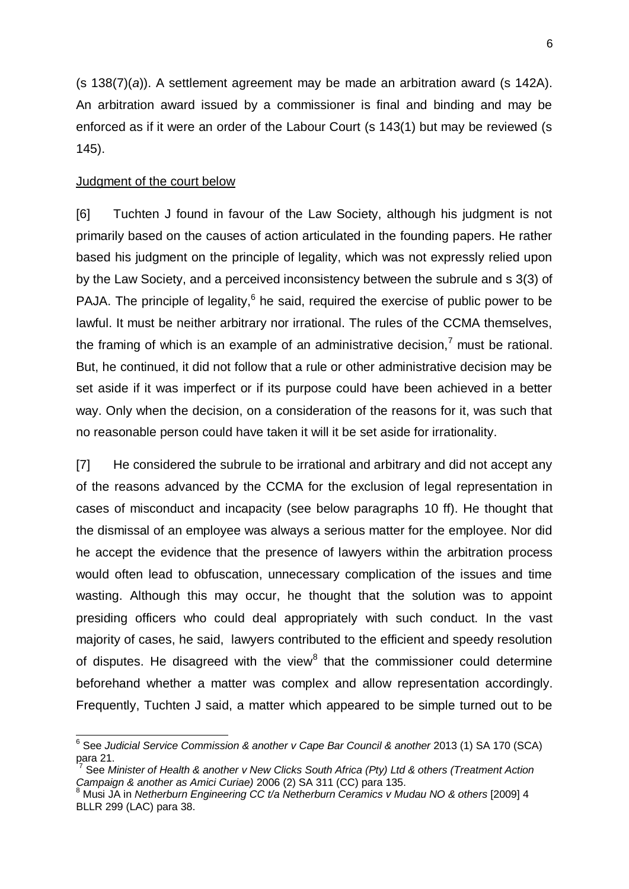(s 138(7)(*a*)). A settlement agreement may be made an arbitration award (s 142A). An arbitration award issued by a commissioner is final and binding and may be enforced as if it were an order of the Labour Court (s 143(1) but may be reviewed (s 145).

## Judgment of the court below

 $\overline{a}$ 

[6] Tuchten J found in favour of the Law Society, although his judgment is not primarily based on the causes of action articulated in the founding papers. He rather based his judgment on the principle of legality, which was not expressly relied upon by the Law Society, and a perceived inconsistency between the subrule and s 3(3) of PAJA. The principle of legality, $6$  he said, required the exercise of public power to be lawful. It must be neither arbitrary nor irrational. The rules of the CCMA themselves, the framing of which is an example of an administrative decision,<sup>7</sup> must be rational. But, he continued, it did not follow that a rule or other administrative decision may be set aside if it was imperfect or if its purpose could have been achieved in a better way. Only when the decision, on a consideration of the reasons for it, was such that no reasonable person could have taken it will it be set aside for irrationality.

[7] He considered the subrule to be irrational and arbitrary and did not accept any of the reasons advanced by the CCMA for the exclusion of legal representation in cases of misconduct and incapacity (see below paragraphs 10 ff). He thought that the dismissal of an employee was always a serious matter for the employee. Nor did he accept the evidence that the presence of lawyers within the arbitration process would often lead to obfuscation, unnecessary complication of the issues and time wasting. Although this may occur, he thought that the solution was to appoint presiding officers who could deal appropriately with such conduct. In the vast majority of cases, he said, lawyers contributed to the efficient and speedy resolution of disputes. He disagreed with the view $8$  that the commissioner could determine beforehand whether a matter was complex and allow representation accordingly. Frequently, Tuchten J said, a matter which appeared to be simple turned out to be

<sup>&</sup>lt;sup>6</sup> See Judicial Service Commission & another v Cape Bar Council & another 2013 (1) SA 170 (SCA) para 21.

<sup>7</sup> See *Minister of Health & another v New Clicks South Africa (Pty) Ltd & others (Treatment Action Campaign & another as Amici Curiae)* 2006 (2) SA 311 (CC) para 135.

<sup>8</sup> Musi JA in *Netherburn Engineering CC t/a Netherburn Ceramics v Mudau NO & others* [2009] 4 BLLR 299 (LAC) para 38.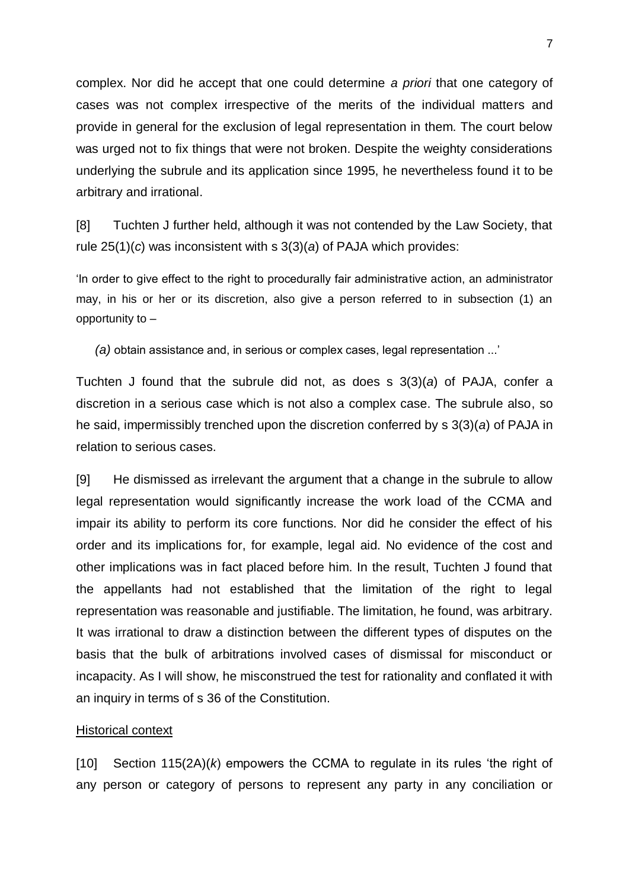complex. Nor did he accept that one could determine *a priori* that one category of cases was not complex irrespective of the merits of the individual matters and provide in general for the exclusion of legal representation in them. The court below was urged not to fix things that were not broken. Despite the weighty considerations underlying the subrule and its application since 1995, he nevertheless found it to be arbitrary and irrational.

[8] Tuchten J further held, although it was not contended by the Law Society, that rule 25(1)(*c*) was inconsistent with s 3(3)(*a*) of PAJA which provides:

‗In order to give effect to the right to procedurally fair administrative action, an administrator may, in his or her or its discretion, also give a person referred to in subsection (1) an opportunity to –

*(a)* obtain assistance and, in serious or complex cases, legal representation ...'

Tuchten J found that the subrule did not, as does s 3(3)(*a*) of PAJA, confer a discretion in a serious case which is not also a complex case. The subrule also, so he said, impermissibly trenched upon the discretion conferred by s 3(3)(*a*) of PAJA in relation to serious cases.

[9] He dismissed as irrelevant the argument that a change in the subrule to allow legal representation would significantly increase the work load of the CCMA and impair its ability to perform its core functions. Nor did he consider the effect of his order and its implications for, for example, legal aid. No evidence of the cost and other implications was in fact placed before him. In the result, Tuchten J found that the appellants had not established that the limitation of the right to legal representation was reasonable and justifiable. The limitation, he found, was arbitrary. It was irrational to draw a distinction between the different types of disputes on the basis that the bulk of arbitrations involved cases of dismissal for misconduct or incapacity. As I will show, he misconstrued the test for rationality and conflated it with an inquiry in terms of s 36 of the Constitution.

#### Historical context

[10] Section 115(2A)(k) empowers the CCMA to regulate in its rules 'the right of any person or category of persons to represent any party in any conciliation or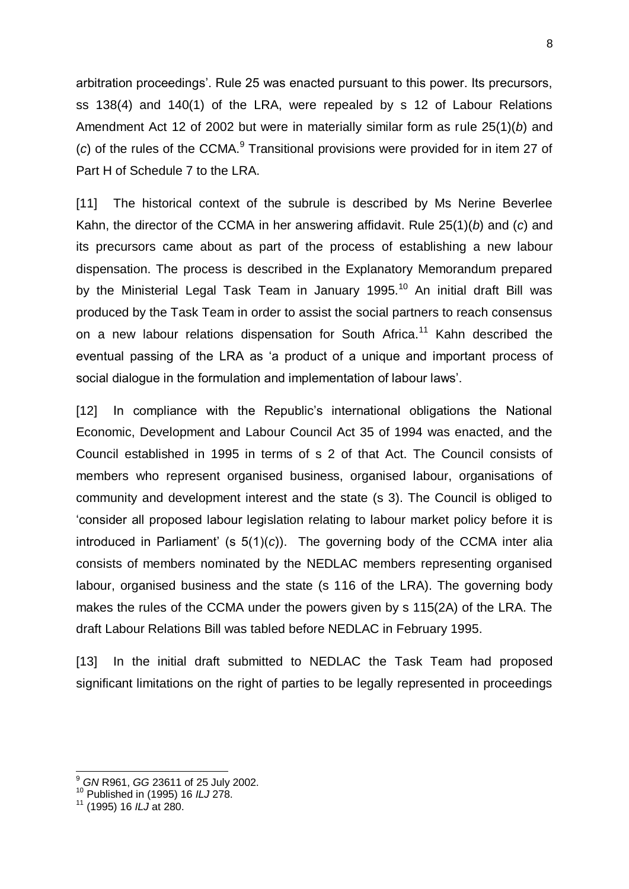arbitration proceedings'. Rule 25 was enacted pursuant to this power. Its precursors, ss 138(4) and 140(1) of the LRA, were repealed by s 12 of Labour Relations Amendment Act 12 of 2002 but were in materially similar form as rule 25(1)(*b*) and (c) of the rules of the CCMA.<sup>9</sup> Transitional provisions were provided for in item 27 of Part H of Schedule 7 to the LRA.

[11] The historical context of the subrule is described by Ms Nerine Beverlee Kahn, the director of the CCMA in her answering affidavit. Rule 25(1)(*b*) and (*c*) and its precursors came about as part of the process of establishing a new labour dispensation. The process is described in the Explanatory Memorandum prepared by the Ministerial Legal Task Team in January 1995.<sup>10</sup> An initial draft Bill was produced by the Task Team in order to assist the social partners to reach consensus on a new labour relations dispensation for South Africa.<sup>11</sup> Kahn described the eventual passing of the LRA as 'a product of a unique and important process of social dialogue in the formulation and implementation of labour laws'.

[12] In compliance with the Republic's international obligations the National Economic, Development and Labour Council Act 35 of 1994 was enacted, and the Council established in 1995 in terms of s 2 of that Act. The Council consists of members who represent organised business, organised labour, organisations of community and development interest and the state (s 3). The Council is obliged to ‗consider all proposed labour legislation relating to labour market policy before it is introduced in Parliament' (s 5(1)(*c*)). The governing body of the CCMA inter alia consists of members nominated by the NEDLAC members representing organised labour, organised business and the state (s 116 of the LRA). The governing body makes the rules of the CCMA under the powers given by s 115(2A) of the LRA. The draft Labour Relations Bill was tabled before NEDLAC in February 1995.

[13] In the initial draft submitted to NEDLAC the Task Team had proposed significant limitations on the right of parties to be legally represented in proceedings

-

<sup>9</sup> *GN* R961, *GG* 23611 of 25 July 2002.

<sup>10</sup> Published in (1995) 16 *ILJ* 278.

<sup>11</sup> (1995) 16 *ILJ* at 280.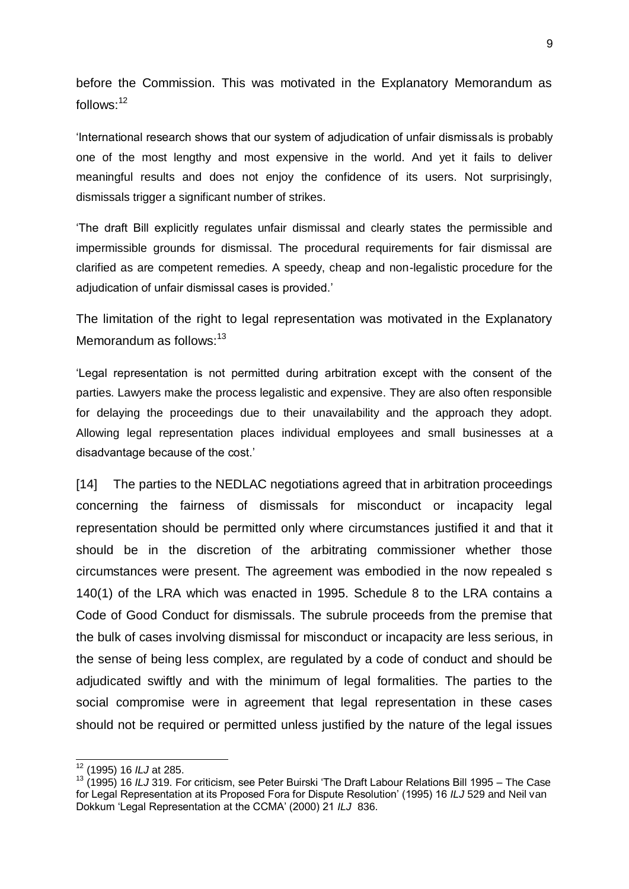before the Commission. This was motivated in the Explanatory Memorandum as follows: $12$ 

linternational research shows that our system of adjudication of unfair dismissals is probably one of the most lengthy and most expensive in the world. And yet it fails to deliver meaningful results and does not enjoy the confidence of its users. Not surprisingly, dismissals trigger a significant number of strikes.

‗The draft Bill explicitly regulates unfair dismissal and clearly states the permissible and impermissible grounds for dismissal. The procedural requirements for fair dismissal are clarified as are competent remedies. A speedy, cheap and non-legalistic procedure for the adjudication of unfair dismissal cases is provided.'

The limitation of the right to legal representation was motivated in the Explanatory Memorandum as follows: $13$ 

‗Legal representation is not permitted during arbitration except with the consent of the parties. Lawyers make the process legalistic and expensive. They are also often responsible for delaying the proceedings due to their unavailability and the approach they adopt. Allowing legal representation places individual employees and small businesses at a disadvantage because of the cost.'

[14] The parties to the NEDLAC negotiations agreed that in arbitration proceedings concerning the fairness of dismissals for misconduct or incapacity legal representation should be permitted only where circumstances justified it and that it should be in the discretion of the arbitrating commissioner whether those circumstances were present. The agreement was embodied in the now repealed s 140(1) of the LRA which was enacted in 1995. Schedule 8 to the LRA contains a Code of Good Conduct for dismissals. The subrule proceeds from the premise that the bulk of cases involving dismissal for misconduct or incapacity are less serious, in the sense of being less complex, are regulated by a code of conduct and should be adjudicated swiftly and with the minimum of legal formalities. The parties to the social compromise were in agreement that legal representation in these cases should not be required or permitted unless justified by the nature of the legal issues

<sup>12</sup> (1995) 16 *ILJ* at 285.

<sup>13</sup> (1995) 16 *ILJ* 319. For criticism, see Peter Buirski ‗The Draft Labour Relations Bill 1995 – The Case for Legal Representation at its Proposed Fora for Dispute Resolution' (1995) 16 *ILJ* 529 and Neil van Dokkum ‗Legal Representation at the CCMA' (2000) 21 *ILJ* 836.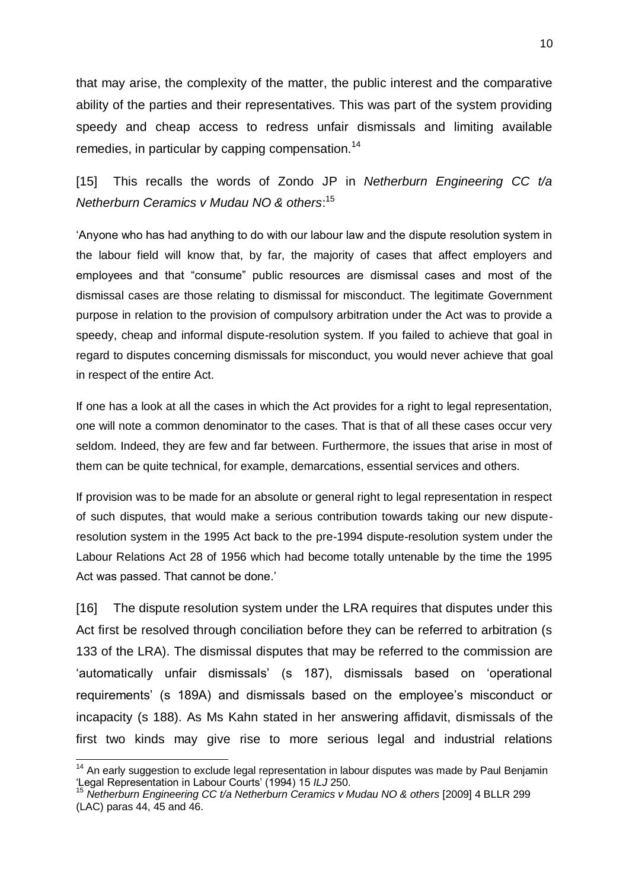that may arise, the complexity of the matter, the public interest and the comparative ability of the parties and their representatives. This was part of the system providing speedy and cheap access to redress unfair dismissals and limiting available remedies, in particular by capping compensation.<sup>14</sup>

[15] This recalls the words of Zondo JP in *Netherburn Engineering CC t/a Netherburn Ceramics v Mudau NO & others*: 15

‗Anyone who has had anything to do with our labour law and the dispute resolution system in the labour field will know that, by far, the majority of cases that affect employers and employees and that "consume" public resources are dismissal cases and most of the dismissal cases are those relating to dismissal for misconduct. The legitimate Government purpose in relation to the provision of compulsory arbitration under the Act was to provide a speedy, cheap and informal dispute-resolution system. If you failed to achieve that goal in regard to disputes concerning dismissals for misconduct, you would never achieve that goal in respect of the entire Act.

If one has a look at all the cases in which the Act provides for a right to legal representation, one will note a common denominator to the cases. That is that of all these cases occur very seldom. Indeed, they are few and far between. Furthermore, the issues that arise in most of them can be quite technical, for example, demarcations, essential services and others.

If provision was to be made for an absolute or general right to legal representation in respect of such disputes, that would make a serious contribution towards taking our new disputeresolution system in the 1995 Act back to the pre-1994 dispute-resolution system under the Labour Relations Act 28 of 1956 which had become totally untenable by the time the 1995 Act was passed. That cannot be done.'

[16] The dispute resolution system under the LRA requires that disputes under this Act first be resolved through conciliation before they can be referred to arbitration (s 133 of the LRA). The dismissal disputes that may be referred to the commission are 'automatically unfair dismissals' (s 187), dismissals based on 'operational requirements' (s 189A) and dismissals based on the employee's misconduct or incapacity (s 188). As Ms Kahn stated in her answering affidavit, dismissals of the first two kinds may give rise to more serious legal and industrial relations

<sup>&</sup>lt;sup>14</sup> An early suggestion to exclude legal representation in labour disputes was made by Paul Benjamin ‗Legal Representation in Labour Courts' (1994) 15 *ILJ* 250.

<sup>15</sup> *Netherburn Engineering CC t/a Netherburn Ceramics v Mudau NO & others* [2009] 4 BLLR 299  $(LAC)$  paras 44, 45 and 46.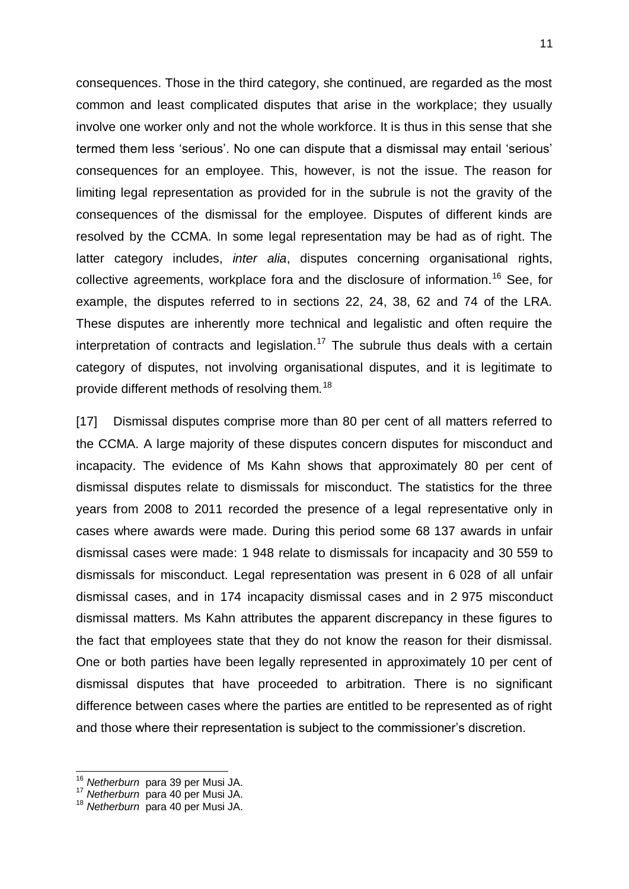consequences. Those in the third category, she continued, are regarded as the most common and least complicated disputes that arise in the workplace; they usually involve one worker only and not the whole workforce. It is thus in this sense that she termed them less 'serious'. No one can dispute that a dismissal may entail 'serious' consequences for an employee. This, however, is not the issue. The reason for limiting legal representation as provided for in the subrule is not the gravity of the consequences of the dismissal for the employee. Disputes of different kinds are resolved by the CCMA. In some legal representation may be had as of right. The latter category includes, *inter alia*, disputes concerning organisational rights, collective agreements, workplace fora and the disclosure of information.<sup>16</sup> See, for example, the disputes referred to in sections 22, 24, 38, 62 and 74 of the LRA. These disputes are inherently more technical and legalistic and often require the interpretation of contracts and legislation.<sup>17</sup> The subrule thus deals with a certain category of disputes, not involving organisational disputes, and it is legitimate to provide different methods of resolving them.<sup>18</sup>

[17] Dismissal disputes comprise more than 80 per cent of all matters referred to the CCMA. A large majority of these disputes concern disputes for misconduct and incapacity. The evidence of Ms Kahn shows that approximately 80 per cent of dismissal disputes relate to dismissals for misconduct. The statistics for the three years from 2008 to 2011 recorded the presence of a legal representative only in cases where awards were made. During this period some 68 137 awards in unfair dismissal cases were made: 1 948 relate to dismissals for incapacity and 30 559 to dismissals for misconduct. Legal representation was present in 6 028 of all unfair dismissal cases, and in 174 incapacity dismissal cases and in 2 975 misconduct dismissal matters. Ms Kahn attributes the apparent discrepancy in these figures to the fact that employees state that they do not know the reason for their dismissal. One or both parties have been legally represented in approximately 10 per cent of dismissal disputes that have proceeded to arbitration. There is no significant difference between cases where the parties are entitled to be represented as of right and those where their representation is subject to the commissioner's discretion.

-

<sup>16</sup> *Netherburn* para 39 per Musi JA.

<sup>17</sup> *Netherburn* para 40 per Musi JA.

<sup>18</sup> *Netherburn* para 40 per Musi JA.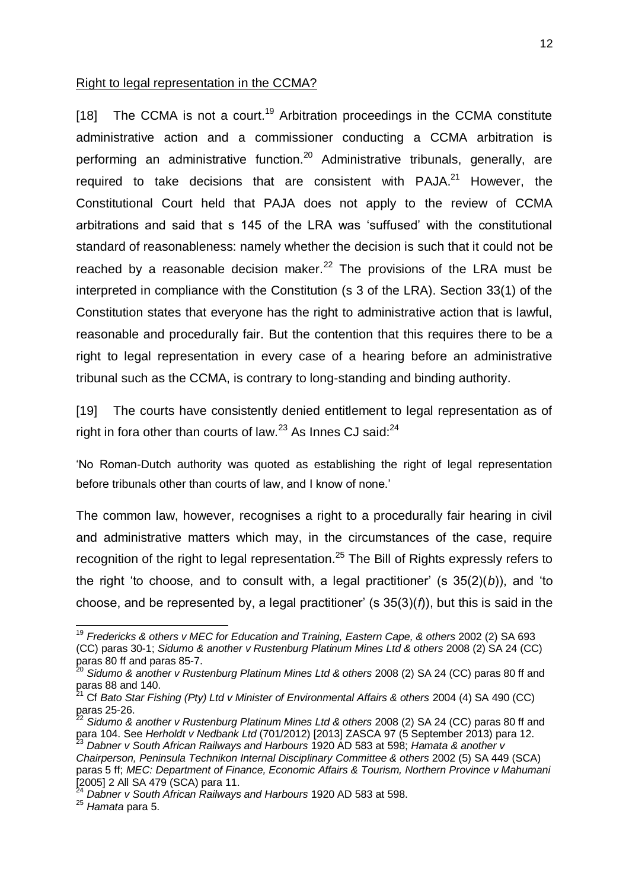#### Right to legal representation in the CCMA?

 $[18]$  The CCMA is not a court.<sup>19</sup> Arbitration proceedings in the CCMA constitute administrative action and a commissioner conducting a CCMA arbitration is performing an administrative function.<sup>20</sup> Administrative tribunals, generally, are required to take decisions that are consistent with  $PAJA<sup>21</sup>$  However, the Constitutional Court held that PAJA does not apply to the review of CCMA arbitrations and said that s 145 of the LRA was 'suffused' with the constitutional standard of reasonableness: namely whether the decision is such that it could not be reached by a reasonable decision maker.<sup>22</sup> The provisions of the LRA must be interpreted in compliance with the Constitution (s 3 of the LRA). Section 33(1) of the Constitution states that everyone has the right to administrative action that is lawful, reasonable and procedurally fair. But the contention that this requires there to be a right to legal representation in every case of a hearing before an administrative tribunal such as the CCMA, is contrary to long-standing and binding authority.

[19] The courts have consistently denied entitlement to legal representation as of right in fora other than courts of law. $^{23}$  As Innes CJ said: $^{24}$ 

‗No Roman-Dutch authority was quoted as establishing the right of legal representation before tribunals other than courts of law, and I know of none.'

The common law, however, recognises a right to a procedurally fair hearing in civil and administrative matters which may, in the circumstances of the case, require recognition of the right to legal representation.<sup>25</sup> The Bill of Rights expressly refers to the right 'to choose, and to consult with, a legal practitioner' (s  $35(2)(b)$ ), and 'to choose, and be represented by, a legal practitioner' (s 35(3)(*f*)), but this is said in the

<sup>&</sup>lt;sup>19</sup> Fredericks & others v MEC for Education and Training, Eastern Cape, & others 2002 (2) SA 693 (CC) paras 30-1; *Sidumo & another v Rustenburg Platinum Mines Ltd & others* 2008 (2) SA 24 (CC) paras 80 ff and paras 85-7.

<sup>&</sup>lt;sup>20</sup> Sidumo & another v Rustenburg Platinum Mines Ltd & others 2008 (2) SA 24 (CC) paras 80 ff and paras 88 and 140.

<sup>21</sup> Cf *Bato Star Fishing (Pty) Ltd v Minister of Environmental Affairs & others* 2004 (4) SA 490 (CC) paras 25-26.

<sup>&</sup>lt;sup>22</sup> Sidumo & another v Rustenburg Platinum Mines Ltd & others 2008 (2) SA 24 (CC) paras 80 ff and para 104. See *Herholdt v Nedbank Ltd* (701/2012) [2013] ZASCA 97 (5 September 2013) para 12. <sup>23</sup> *Dabner v South African Railways and Harbours* 1920 AD 583 at 598; *Hamata & another v Chairperson, Peninsula Technikon Internal Disciplinary Committee & others* 2002 (5) SA 449 (SCA) paras 5 ff; *MEC: Department of Finance, Economic Affairs & Tourism, Northern Province v Mahumani* [2005] 2 All SA 479 (SCA) para 11.

<sup>24</sup> *Dabner v South African Railways and Harbours* 1920 AD 583 at 598.

<sup>25</sup> *Hamata* para 5.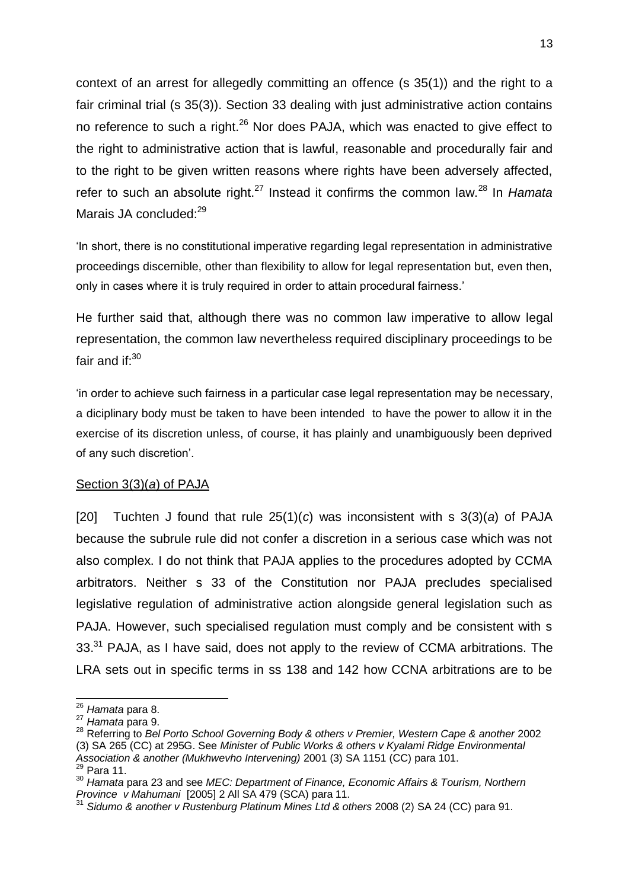context of an arrest for allegedly committing an offence (s 35(1)) and the right to a fair criminal trial (s 35(3)). Section 33 dealing with just administrative action contains no reference to such a right.<sup>26</sup> Nor does PAJA, which was enacted to give effect to the right to administrative action that is lawful, reasonable and procedurally fair and to the right to be given written reasons where rights have been adversely affected, refer to such an absolute right.<sup>27</sup> Instead it confirms the common law.<sup>28</sup> In *Hamata* Marais JA concluded:<sup>29</sup>

‗In short, there is no constitutional imperative regarding legal representation in administrative proceedings discernible, other than flexibility to allow for legal representation but, even then, only in cases where it is truly required in order to attain procedural fairness.'

He further said that, although there was no common law imperative to allow legal representation, the common law nevertheless required disciplinary proceedings to be fair and if: $30$ 

‗in order to achieve such fairness in a particular case legal representation may be necessary, a diciplinary body must be taken to have been intended to have the power to allow it in the exercise of its discretion unless, of course, it has plainly and unambiguously been deprived of any such discretion'.

#### Section 3(3)(*a*) of PAJA

[20] Tuchten J found that rule 25(1)(*c*) was inconsistent with s 3(3)(*a*) of PAJA because the subrule rule did not confer a discretion in a serious case which was not also complex. I do not think that PAJA applies to the procedures adopted by CCMA arbitrators. Neither s 33 of the Constitution nor PAJA precludes specialised legislative regulation of administrative action alongside general legislation such as PAJA. However, such specialised regulation must comply and be consistent with s 33.<sup>31</sup> PAJA, as I have said, does not apply to the review of CCMA arbitrations. The LRA sets out in specific terms in ss 138 and 142 how CCNA arbitrations are to be

 $^{29}$  Para 11.

 $\overline{a}$ <sup>26</sup> *Hamata* para 8.

<sup>27</sup> *Hamata* para 9.

<sup>28</sup> Referring to *Bel Porto School Governing Body & others v Premier, Western Cape & another* 2002 (3) SA 265 (CC) at 295G. See *Minister of Public Works & others v Kyalami Ridge Environmental Association & another (Mukhwevho Intervening)* 2001 (3) SA 1151 (CC) para 101.

<sup>30</sup> *Hamata* para 23 and see *MEC: Department of Finance, Economic Affairs & Tourism, Northern Province v Mahumani* [2005] 2 All SA 479 (SCA) para 11.

<sup>&</sup>lt;sup>31</sup> Sidumo & another v Rustenburg Platinum Mines Ltd & others 2008 (2) SA 24 (CC) para 91.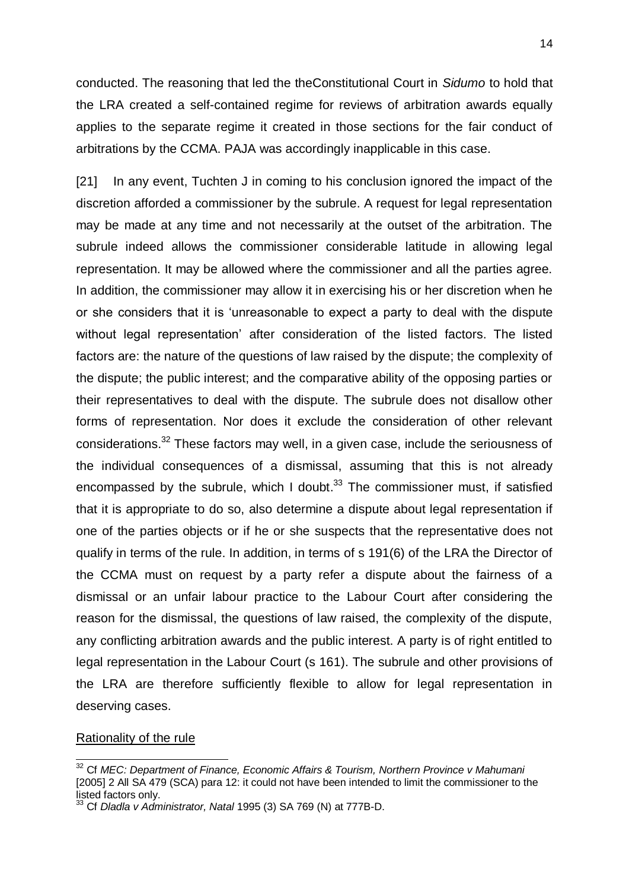conducted. The reasoning that led the theConstitutional Court in *Sidumo* to hold that the LRA created a self-contained regime for reviews of arbitration awards equally applies to the separate regime it created in those sections for the fair conduct of arbitrations by the CCMA. PAJA was accordingly inapplicable in this case.

[21] In any event, Tuchten J in coming to his conclusion ignored the impact of the discretion afforded a commissioner by the subrule. A request for legal representation may be made at any time and not necessarily at the outset of the arbitration. The subrule indeed allows the commissioner considerable latitude in allowing legal representation. It may be allowed where the commissioner and all the parties agree. In addition, the commissioner may allow it in exercising his or her discretion when he or she considers that it is ‗unreasonable to expect a party to deal with the dispute without legal representation' after consideration of the listed factors. The listed factors are: the nature of the questions of law raised by the dispute; the complexity of the dispute; the public interest; and the comparative ability of the opposing parties or their representatives to deal with the dispute. The subrule does not disallow other forms of representation. Nor does it exclude the consideration of other relevant considerations.<sup>32</sup> These factors may well, in a given case, include the seriousness of the individual consequences of a dismissal, assuming that this is not already encompassed by the subrule, which I doubt. $33$  The commissioner must, if satisfied that it is appropriate to do so, also determine a dispute about legal representation if one of the parties objects or if he or she suspects that the representative does not qualify in terms of the rule. In addition, in terms of s 191(6) of the LRA the Director of the CCMA must on request by a party refer a dispute about the fairness of a dismissal or an unfair labour practice to the Labour Court after considering the reason for the dismissal, the questions of law raised, the complexity of the dispute, any conflicting arbitration awards and the public interest. A party is of right entitled to legal representation in the Labour Court (s 161). The subrule and other provisions of the LRA are therefore sufficiently flexible to allow for legal representation in deserving cases.

#### Rationality of the rule

<sup>32</sup> Cf *MEC: Department of Finance, Economic Affairs & Tourism, Northern Province v Mahumani* [2005] 2 All SA 479 (SCA) para 12: it could not have been intended to limit the commissioner to the listed factors only.

<sup>33</sup> Cf *Dladla v Administrator, Natal* 1995 (3) SA 769 (N) at 777B-D.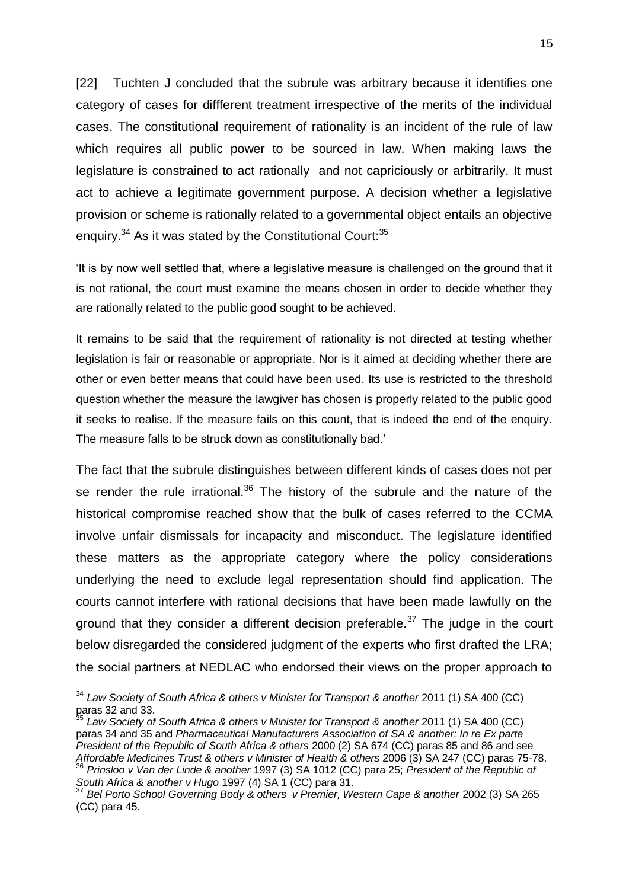[22] Tuchten J concluded that the subrule was arbitrary because it identifies one category of cases for diffferent treatment irrespective of the merits of the individual cases. The constitutional requirement of rationality is an incident of the rule of law which requires all public power to be sourced in law. When making laws the legislature is constrained to act rationally and not capriciously or arbitrarily. It must act to achieve a legitimate government purpose. A decision whether a legislative provision or scheme is rationally related to a governmental object entails an objective enquiry.<sup>34</sup> As it was stated by the Constitutional Court:<sup>35</sup>

'It is by now well settled that, where a legislative measure is challenged on the ground that it is not rational, the court must examine the means chosen in order to decide whether they are rationally related to the public good sought to be achieved.

It remains to be said that the requirement of rationality is not directed at testing whether legislation is fair or reasonable or appropriate. Nor is it aimed at deciding whether there are other or even better means that could have been used. Its use is restricted to the threshold question whether the measure the lawgiver has chosen is properly related to the public good it seeks to realise. If the measure fails on this count, that is indeed the end of the enquiry. The measure falls to be struck down as constitutionally bad.'

The fact that the subrule distinguishes between different kinds of cases does not per se render the rule irrational. $36$  The history of the subrule and the nature of the historical compromise reached show that the bulk of cases referred to the CCMA involve unfair dismissals for incapacity and misconduct. The legislature identified these matters as the appropriate category where the policy considerations underlying the need to exclude legal representation should find application. The courts cannot interfere with rational decisions that have been made lawfully on the ground that they consider a different decision preferable.<sup>37</sup> The judge in the court below disregarded the considered judgment of the experts who first drafted the LRA; the social partners at NEDLAC who endorsed their views on the proper approach to

<sup>&</sup>lt;sup>34</sup> Law Society of South Africa & others v Minister for Transport & another 2011 (1) SA 400 (CC)  $p_{\rm gas}$  and 33.

<sup>&</sup>lt;sup>35</sup> Law Society of South Africa & others v Minister for Transport & another 2011 (1) SA 400 (CC) paras 34 and 35 and *Pharmaceutical Manufacturers Association of SA & another: In re Ex parte President of the Republic of South Africa & others* 2000 (2) SA 674 (CC) paras 85 and 86 and see *Affordable Medicines Trust & others v Minister of Health & others* 2006 (3) SA 247 (CC) paras 75-78. <sup>36</sup> *Prinsloo v Van der Linde & another* 1997 (3) SA 1012 (CC) para 25; *President of the Republic of South Africa & another v Hugo* 1997 (4) SA 1 (CC) para 31.

<sup>37</sup> *Bel Porto School Governing Body & others v Premier, Western Cape & another* 2002 (3) SA 265 (CC) para 45.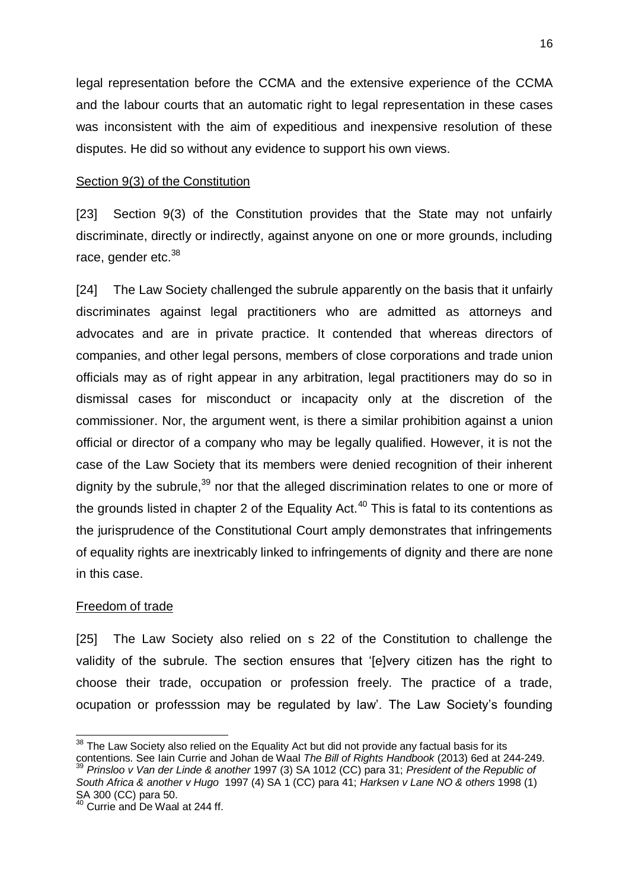legal representation before the CCMA and the extensive experience of the CCMA and the labour courts that an automatic right to legal representation in these cases was inconsistent with the aim of expeditious and inexpensive resolution of these disputes. He did so without any evidence to support his own views.

## Section 9(3) of the Constitution

[23] Section 9(3) of the Constitution provides that the State may not unfairly discriminate, directly or indirectly, against anyone on one or more grounds, including race, gender etc.<sup>38</sup>

[24] The Law Society challenged the subrule apparently on the basis that it unfairly discriminates against legal practitioners who are admitted as attorneys and advocates and are in private practice. It contended that whereas directors of companies, and other legal persons, members of close corporations and trade union officials may as of right appear in any arbitration, legal practitioners may do so in dismissal cases for misconduct or incapacity only at the discretion of the commissioner. Nor, the argument went, is there a similar prohibition against a union official or director of a company who may be legally qualified. However, it is not the case of the Law Society that its members were denied recognition of their inherent dignity by the subrule.<sup>39</sup> nor that the alleged discrimination relates to one or more of the grounds listed in chapter 2 of the Equality Act.<sup>40</sup> This is fatal to its contentions as the jurisprudence of the Constitutional Court amply demonstrates that infringements of equality rights are inextricably linked to infringements of dignity and there are none in this case.

### Freedom of trade

 $\overline{1}$ 

[25] The Law Society also relied on s 22 of the Constitution to challenge the validity of the subrule. The section ensures that '[e]very citizen has the right to choose their trade, occupation or profession freely. The practice of a trade, ocupation or professsion may be regulated by law'. The Law Society's founding

 $38$  The Law Society also relied on the Equality Act but did not provide any factual basis for its contentions. See Iain Currie and Johan de Waal *The Bill of Rights Handbook* (2013) 6ed at 244-249. <sup>39</sup> *Prinsloo v Van der Linde & another* 1997 (3) SA 1012 (CC) para 31; *President of the Republic of* 

*South Africa & another v Hugo* 1997 (4) SA 1 (CC) para 41; *Harksen v Lane NO & others* 1998 (1) SA 300 (CC) para 50.

<sup>&</sup>lt;sup>40</sup> Currie and De Waal at 244 ff.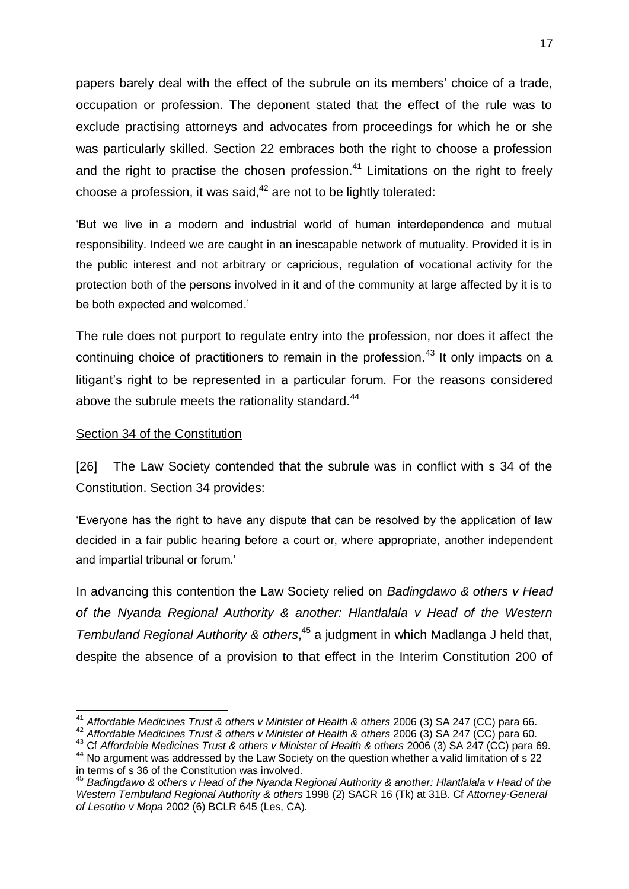papers barely deal with the effect of the subrule on its members' choice of a trade, occupation or profession. The deponent stated that the effect of the rule was to exclude practising attorneys and advocates from proceedings for which he or she was particularly skilled. Section 22 embraces both the right to choose a profession and the right to practise the chosen profession.<sup>41</sup> Limitations on the right to freely choose a profession, it was said.<sup>42</sup> are not to be lightly tolerated:

‗But we live in a modern and industrial world of human interdependence and mutual responsibility. Indeed we are caught in an inescapable network of mutuality. Provided it is in the public interest and not arbitrary or capricious, regulation of vocational activity for the protection both of the persons involved in it and of the community at large affected by it is to be both expected and welcomed.'

The rule does not purport to regulate entry into the profession, nor does it affect the continuing choice of practitioners to remain in the profession.<sup>43</sup> It only impacts on a litigant's right to be represented in a particular forum. For the reasons considered above the subrule meets the rationality standard.<sup>44</sup>

## Section 34 of the Constitution

[26] The Law Society contended that the subrule was in conflict with s 34 of the Constitution. Section 34 provides:

‗Everyone has the right to have any dispute that can be resolved by the application of law decided in a fair public hearing before a court or, where appropriate, another independent and impartial tribunal or forum.'

In advancing this contention the Law Society relied on *Badingdawo & others v Head of the Nyanda Regional Authority & another: Hlantlalala v Head of the Western Tembuland Regional Authority & others*, <sup>45</sup> a judgment in which Madlanga J held that, despite the absence of a provision to that effect in the Interim Constitution 200 of

<sup>-</sup><sup>41</sup> Affordable Medicines Trust & others v Minister of Health & others 2006 (3) SA 247 (CC) para 66.

<sup>42</sup> *Affordable Medicines Trust & others v Minister of Health & others* 2006 (3) SA 247 (CC) para 60.

<sup>43</sup> Cf *Affordable Medicines Trust & others v Minister of Health & others* 2006 (3) SA 247 (CC) para 69.

<sup>&</sup>lt;sup>44</sup> No argument was addressed by the Law Society on the question whether a valid limitation of s 22 in terms of s 36 of the Constitution was involved.

<sup>45</sup> *Badingdawo & others v Head of the Nyanda Regional Authority & another: Hlantlalala v Head of the Western Tembuland Regional Authority & others* 1998 (2) SACR 16 (Tk) at 31B. Cf *Attorney-General of Lesotho v Mopa* 2002 (6) BCLR 645 (Les, CA).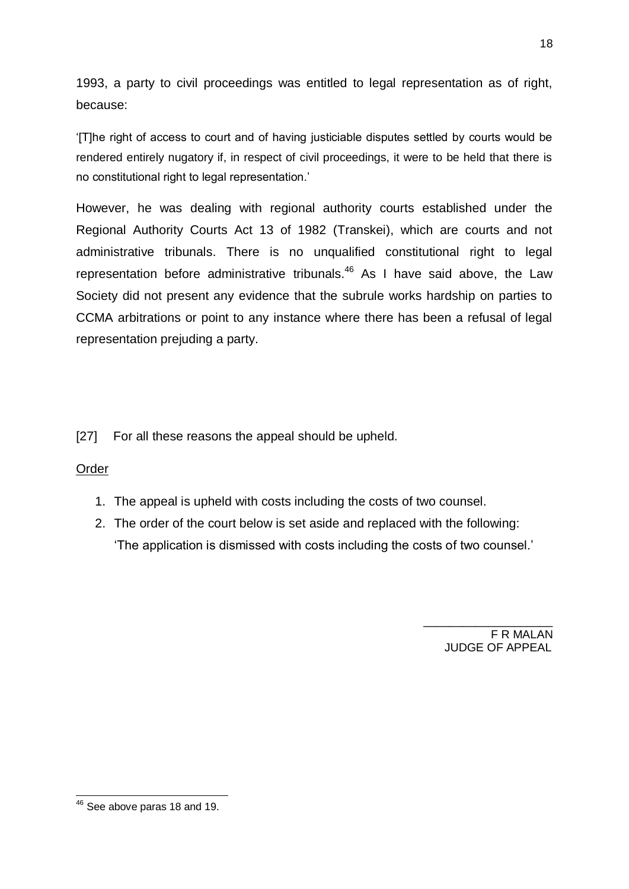1993, a party to civil proceedings was entitled to legal representation as of right, because:

‗[T]he right of access to court and of having justiciable disputes settled by courts would be rendered entirely nugatory if, in respect of civil proceedings, it were to be held that there is no constitutional right to legal representation.'

However, he was dealing with regional authority courts established under the Regional Authority Courts Act 13 of 1982 (Transkei), which are courts and not administrative tribunals. There is no unqualified constitutional right to legal representation before administrative tribunals.<sup>46</sup> As I have said above, the Law Society did not present any evidence that the subrule works hardship on parties to CCMA arbitrations or point to any instance where there has been a refusal of legal representation prejuding a party.

[27] For all these reasons the appeal should be upheld.

## Order

- 1. The appeal is upheld with costs including the costs of two counsel.
- 2. The order of the court below is set aside and replaced with the following: ‗The application is dismissed with costs including the costs of two counsel.'

F R MALAN JUDGE OF APPEAL

 $\_$ 

<sup>-</sup> $46$  See above paras 18 and 19.